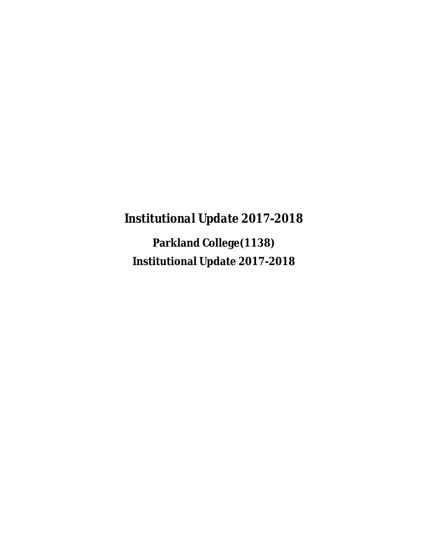*Institutional Update 2017-2018*

**Parkland College(1138) Institutional Update 2017-2018**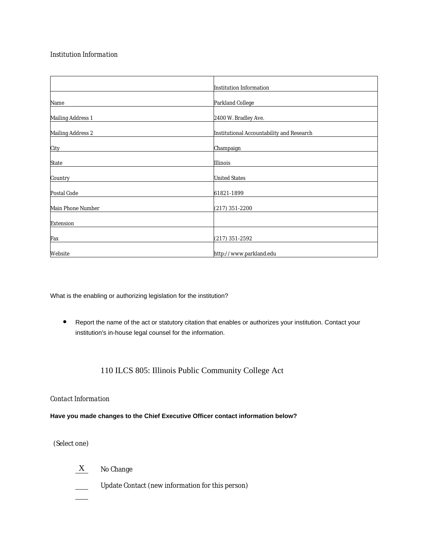### *Institution Information*

|                          | Institution Information                   |
|--------------------------|-------------------------------------------|
| Name                     | Parkland College                          |
| <b>Mailing Address 1</b> | 2400 W. Bradley Ave.                      |
| Mailing Address 2        | Institutional Accountability and Research |
| City                     | Champaign                                 |
| State                    | Illinois                                  |
| Country                  | <b>United States</b>                      |
| Postal Code              | 61821-1899                                |
| Main Phone Number        | $(217)$ 351-2200                          |
| Extension                |                                           |
| Fax                      | $(217)$ 351-2592                          |
| Website                  | http://www.parkland.edu                   |

What is the enabling or authorizing legislation for the institution?

 Report the name of the act or statutory citation that enables or authorizes your institution. Contact your institution's in-house legal counsel for the information.

## 110 ILCS 805: Illinois Public Community College Act

#### *Contact Information*

### **Have you made changes to the Chief Executive Officer contact information below?**

(Select one)

- X No Change
- $\overline{\phantom{a}}$ Update Contact (new information for this person)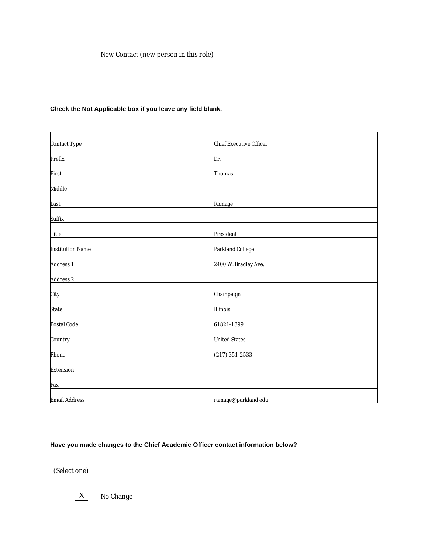New Contact (new person in this role)

| Contact Type                                                                         | Chief Executive Officer |
|--------------------------------------------------------------------------------------|-------------------------|
| Prefix                                                                               | Dr.                     |
| First                                                                                | Thomas                  |
| Middle<br>the control of the control of the control of the control of the control of |                         |
| Last                                                                                 | Ramage                  |
| Suffix                                                                               |                         |
| Title                                                                                | President               |
| <b>Institution Name</b>                                                              | Parkland College        |
| Address 1                                                                            | 2400 W. Bradley Ave.    |
| Address 2                                                                            |                         |
| City                                                                                 | Champaign               |
| State                                                                                | Illinois                |
| Postal Code                                                                          | 61821-1899              |
| Country                                                                              | <b>United States</b>    |
| Phone                                                                                | $(217)$ 351-2533        |
| Extension                                                                            |                         |
| Fax                                                                                  |                         |
| Email Address                                                                        | ramage@parkland.edu     |

### **Check the Not Applicable box if you leave any field blank.**

# **Have you made changes to the Chief Academic Officer contact information below?**

(Select one)

 $X$  No Change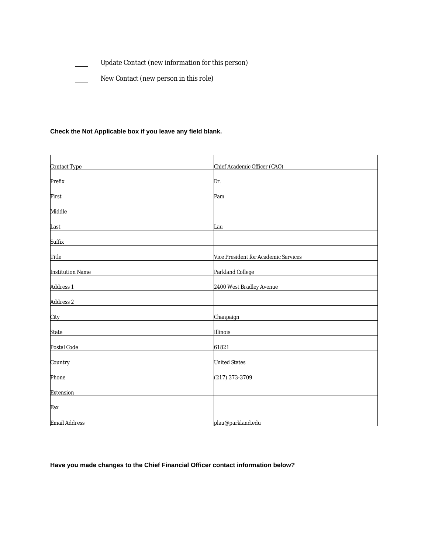- Update Contact (new information for this person)  $\frac{1}{2}$
- New Contact (new person in this role)  $\frac{1}{\sqrt{1-\frac{1}{2}}}\left( \frac{1}{\sqrt{1-\frac{1}{2}}}\right) ^{2}$

### **Check the Not Applicable box if you leave any field blank.**

| Contact Type            | Chief Academic Officer (CAO)         |
|-------------------------|--------------------------------------|
|                         |                                      |
| Prefix                  | Dr.                                  |
|                         |                                      |
| First                   | Pam                                  |
| Middle                  |                                      |
|                         |                                      |
| Last                    | Lau                                  |
|                         |                                      |
| Suffix                  |                                      |
|                         |                                      |
| Title                   | Vice President for Academic Services |
| <b>Institution Name</b> | Parkland College                     |
|                         |                                      |
| Address 1               | 2400 West Bradley Avenue             |
|                         |                                      |
| Address 2               |                                      |
|                         |                                      |
| City                    | Chanpaign                            |
| State                   | Illinois                             |
|                         |                                      |
| Postal Code             | 61821                                |
|                         |                                      |
| Country                 | <b>United States</b>                 |
|                         |                                      |
| Phone                   | $(217)$ 373-3709                     |
|                         |                                      |
| Extension               |                                      |
| Fax                     |                                      |
|                         |                                      |
| Email Address           | plau@parkland.edu                    |

**Have you made changes to the Chief Financial Officer contact information below?**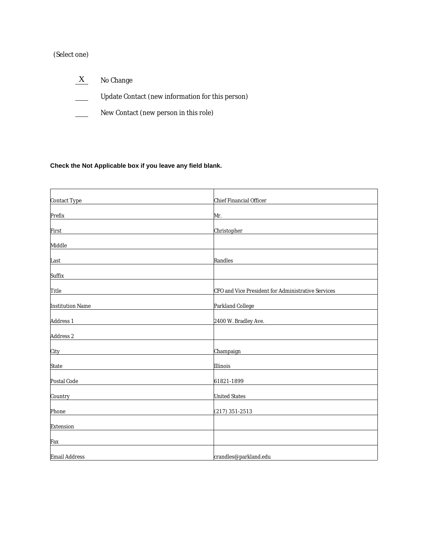# (Select one)

- $X$  No Change
- $\overline{\phantom{0}}$ Update Contact (new information for this person)
- New Contact (new person in this role)  $\frac{1}{1}$

## **Check the Not Applicable box if you leave any field blank.**

| Contact Type            | Chief Financial Officer                            |
|-------------------------|----------------------------------------------------|
| Prefix                  | Mr.                                                |
| First                   | Christopher                                        |
| Middle                  |                                                    |
| Last                    | Randles                                            |
| Suffix                  |                                                    |
| Title                   | CFO and Vice President for Administrative Services |
| <b>Institution Name</b> | Parkland College                                   |
| Address 1               | 2400 W. Bradley Ave.                               |
| Address 2               |                                                    |
| City                    | Champaign                                          |
| State                   | Illinois                                           |
| Postal Code             | 61821-1899                                         |
| Country                 | <b>United States</b>                               |
| Phone                   | $(217)$ 351-2513                                   |
| Extension               |                                                    |
| Fax                     |                                                    |
| Email Address           | crandles@parkland.edu                              |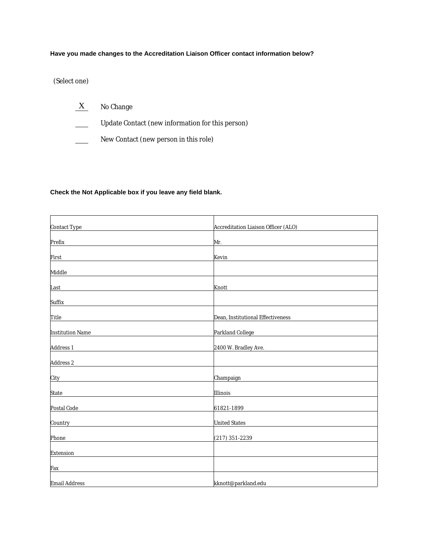### **Have you made changes to the Accreditation Liaison Officer contact information below?**

(Select one)

- $X$  No Change
- $\overline{\phantom{a}}$ Update Contact (new information for this person)
- New Contact (new person in this role)  $\equiv$

### **Check the Not Applicable box if you leave any field blank.**

| Contact Type            | Accreditation Liaison Officer (ALO) |
|-------------------------|-------------------------------------|
|                         |                                     |
| Prefix                  | Mr.                                 |
| First                   | Kevin                               |
| Middle                  |                                     |
| Last                    | Knott                               |
| Suffix                  |                                     |
| Title                   | Dean, Institutional Effectiveness   |
| <b>Institution Name</b> | Parkland College                    |
| Address 1               | 2400 W. Bradley Ave.                |
| Address 2               |                                     |
| City                    | Champaign                           |
| State                   | Illinois                            |
| Postal Code             | 61821-1899                          |
| Country                 | <b>United States</b>                |
| Phone                   | $(217)$ 351-2239                    |
| Extension               |                                     |
| Fax                     |                                     |
| Email Address           | kknott@parkland.edu                 |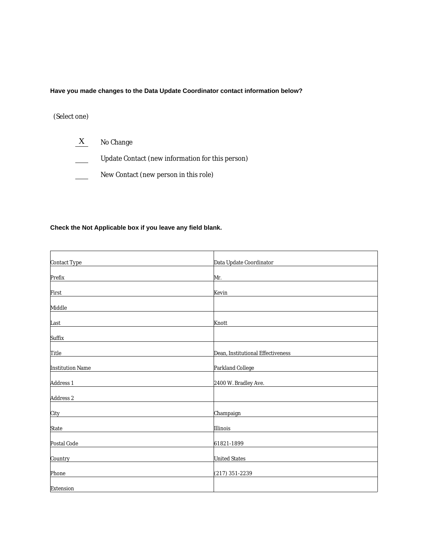**Have you made changes to the Data Update Coordinator contact information below?**

## (Select one)

- X No Change
- $\overline{\phantom{a}}$ Update Contact (new information for this person)
- New Contact (new person in this role)  $\overline{\phantom{a}}$

### **Check the Not Applicable box if you leave any field blank.**

| Prefix<br>Mr.<br>Kevin<br>First<br>Knott<br>Last<br>Dean, Institutional Effectiveness<br>Title<br>Parkland College<br><b>Institution Name</b><br>Address 1<br>2400 W. Bradley Ave.<br>Address 2<br>Champaign<br>City<br>Illinois<br>State<br>Postal Code<br>61821-1899<br><b>United States</b> | Contact Type | Data Update Coordinator |
|------------------------------------------------------------------------------------------------------------------------------------------------------------------------------------------------------------------------------------------------------------------------------------------------|--------------|-------------------------|
|                                                                                                                                                                                                                                                                                                |              |                         |
|                                                                                                                                                                                                                                                                                                |              |                         |
|                                                                                                                                                                                                                                                                                                |              |                         |
|                                                                                                                                                                                                                                                                                                | Middle       |                         |
|                                                                                                                                                                                                                                                                                                |              |                         |
|                                                                                                                                                                                                                                                                                                | Suffix       |                         |
|                                                                                                                                                                                                                                                                                                |              |                         |
|                                                                                                                                                                                                                                                                                                |              |                         |
|                                                                                                                                                                                                                                                                                                |              |                         |
|                                                                                                                                                                                                                                                                                                |              |                         |
|                                                                                                                                                                                                                                                                                                |              |                         |
|                                                                                                                                                                                                                                                                                                |              |                         |
|                                                                                                                                                                                                                                                                                                |              |                         |
|                                                                                                                                                                                                                                                                                                |              |                         |
|                                                                                                                                                                                                                                                                                                |              |                         |
|                                                                                                                                                                                                                                                                                                | Country      |                         |
|                                                                                                                                                                                                                                                                                                | Phone        | $(217)$ 351-2239        |
|                                                                                                                                                                                                                                                                                                | Extension    |                         |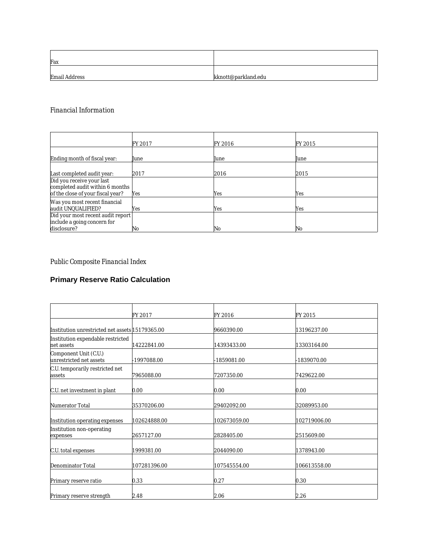| Fax           |                     |
|---------------|---------------------|
| Email Address | kknott@parkland.edu |

## *Financial Information*

|                                   | FY 2017 | FY 2016 | FY 2015 |
|-----------------------------------|---------|---------|---------|
|                                   |         |         |         |
| Ending month of fiscal year:      | June    | June    | June    |
|                                   |         |         |         |
| Last completed audit year:        | 2017    | 2016    | 2015    |
| Did you receive your last         |         |         |         |
| completed audit within 6 months   |         |         |         |
| of the close of your fiscal year? | Yes     | Yes     | Yes     |
| Was you most recent financial     |         |         |         |
| audit UNQUALIFIED?                | Yes     | Yes     | Yes     |
| Did your most recent audit report |         |         |         |
| include a going concern for       |         |         |         |
| disclosure?                       | No      | No      | No      |

# *Public Composite Financial Index*

# **Primary Reserve Ratio Calculation**

|                                                  | FY 2017      | FY 2016      | FY 2015      |  |
|--------------------------------------------------|--------------|--------------|--------------|--|
| Institution unrestricted net assets 15179365.00  |              | 9660390.00   | 13196237.00  |  |
| Institution expendable restricted<br>net assets  | 14222841.00  | 14393433.00  | 13303164.00  |  |
| Component Unit (C.U.)<br>unrestricted net assets | -1997088.00  | 1859081.00   | 1839070.00   |  |
| C.U. temporarily restricted net<br>assets        | 7965088.00   | 7207350.00   | 7429622.00   |  |
| C.U. net investment in plant                     | 0.00         | 0.00         | 0.00         |  |
| Numerator Total                                  | 35370206.00  | 29402092.00  | 32089953.00  |  |
| Institution operating expenses                   | 102624888.00 | 102673059.00 | 102719006.00 |  |
| Institution non-operating<br>expenses            | 2657127.00   | 2828405.00   | 2515609.00   |  |
| C.U. total expenses                              | 1999381.00   | 2044090.00   | 1378943.00   |  |
| Denominator Total                                | 107281396.00 | 107545554.00 | 106613558.00 |  |
| Primary reserve ratio                            | 0.33         | 0.27         | 0.30         |  |
| Primary reserve strength                         | 2.48         | 2.06         | 2.26         |  |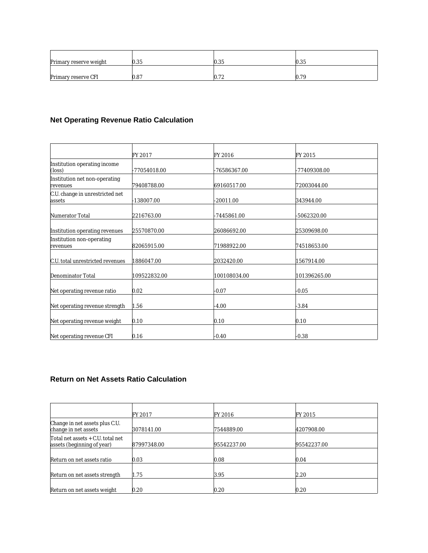| Primary reserve weight | 0.35 | 0.35 | 0.35 |
|------------------------|------|------|------|
|                        |      |      |      |
| Primary reserve CFI    | 0.87 | 0.72 | 0.79 |

# **Net Operating Revenue Ratio Calculation**

|                                           | FY 2017      | FY 2016      | FY 2015      |
|-------------------------------------------|--------------|--------------|--------------|
| Institution operating income<br>$\log$    | 77054018.00  | 76586367.00  | -77409308.00 |
| Institution net non-operating<br>revenues | 79408788.00  | 69160517.00  | 72003044.00  |
| C.U. change in unrestricted net<br>assets | -138007.00   | 20011.00     | 343944.00    |
| Numerator Total                           | 2216763.00   | 7445861.00   | -5062320.00  |
| Institution operating revenues            | 25570870.00  | 26086692.00  | 25309698.00  |
| Institution non-operating<br>revenues     | 82065915.00  | 71988922.00  | 74518653.00  |
| C.U. total unrestricted revenues          | 1886047.00   | 2032420.00   | 1567914.00   |
| Denominator Total                         | 109522832.00 | 100108034.00 | 101396265.00 |
| Net operating revenue ratio               | 0.02         | $-0.07$      | $-0.05$      |
| Net operating revenue strength            | 1.56         | 4.00         | $-3.84$      |
| Net operating revenue weight              | 0.10         | 0.10         | 0.10         |
| Net operating revenue CFI                 | 0.16         | $-0.40$      | $-0.38$      |

## **Return on Net Assets Ratio Calculation**

|                                                                 | FY 2017     | FY 2016     | FY 2015     |
|-----------------------------------------------------------------|-------------|-------------|-------------|
| Change in net assets plus C.U.<br>change in net assets          | 3078141.00  | 7544889.00  | 4207908.00  |
| Total net assets + C.U. total net<br>assets (beginning of year) | 87997348.00 | 95542237.00 | 95542237.00 |
| Return on net assets ratio                                      | 0.03        | 0.08        | 0.04        |
| Return on net assets strength                                   | 1.75        | 3.95        | 2.20        |
| Return on net assets weight                                     | 0.20        | 0.20        | 0.20        |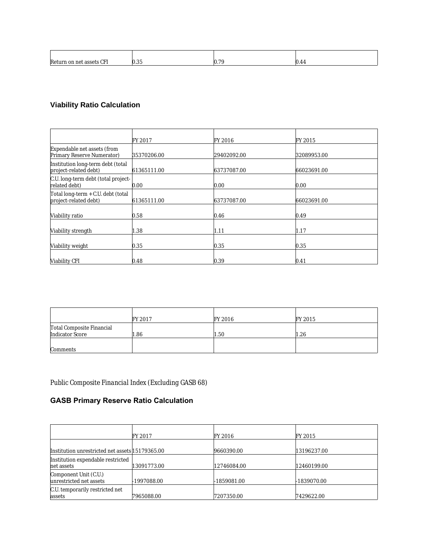| CEI<br>Re <sub>t</sub> | $\sim$ $\sim$<br>r. | $70^{\circ}$ |  |
|------------------------|---------------------|--------------|--|

# **Viability Ratio Calculation**

|                                                             | FY 2017     | FY 2016     | FY 2015     |
|-------------------------------------------------------------|-------------|-------------|-------------|
| Expendable net assets (from<br>Primary Reserve Numerator)   | 35370206.00 | 29402092.00 | 32089953.00 |
| Institution long-term debt (total<br>project-related debt)  | 61365111.00 | 63737087.00 | 66023691.00 |
| C.U. long-term debt (total project-<br>related debt)        | 0.00        | 0.00        | 0.00        |
| Total long-term + C.U. debt (total<br>project-related debt) | 61365111.00 | 63737087.00 | 66023691.00 |
| Viability ratio                                             | 0.58        | 0.46        | 0.49        |
| Viability strength                                          | 1.38        | 1.11        | 1.17        |
| Viability weight                                            | 0.35        | 0.35        | 0.35        |
| Viability CFI                                               | 0.48        | 0.39        | 0.41        |

|                                              | FY 2017 | FY 2016 | FY 2015 |
|----------------------------------------------|---------|---------|---------|
| Total Composite Financial<br>Indicator Score | 1.86    | 1.50    | 1.26    |
| Comments                                     |         |         |         |

# *Public Composite Financial Index (Excluding GASB 68)*

# **GASB Primary Reserve Ratio Calculation**

|                                                  | FY 2017     | FY 2016     | FY 2015     |
|--------------------------------------------------|-------------|-------------|-------------|
| Institution unrestricted net assets 15179365.00  |             | 9660390.00  | 13196237.00 |
| Institution expendable restricted<br>net assets  | 13091773.00 | 12746084.00 | 12460199.00 |
| Component Unit (C.U.)<br>unrestricted net assets | 1997088.00  | 1859081.00  | -1839070.00 |
| C.U. temporarily restricted net<br>assets        | 7965088.00  | 7207350.00  | 7429622.00  |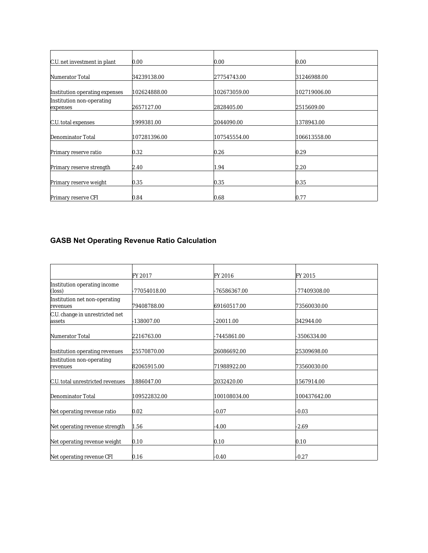| C.U. net investment in plant          | 0.00         | 0.00         | 0.00         |
|---------------------------------------|--------------|--------------|--------------|
| Numerator Total                       | 34239138.00  | 27754743.00  | 31246988.00  |
| Institution operating expenses        | 102624888.00 | 102673059.00 | 102719006.00 |
| Institution non-operating<br>expenses | 2657127.00   | 2828405.00   | 2515609.00   |
| C.U. total expenses                   | 1999381.00   | 2044090.00   | 1378943.00   |
| Denominator Total                     | 107281396.00 | 107545554.00 | 106613558.00 |
| Primary reserve ratio                 | 0.32         | 0.26         | 0.29         |
| Primary reserve strength              | 2.40         | 1.94         | 2.20         |
| Primary reserve weight                | 0.35         | 0.35         | 0.35         |
| Primary reserve CFI                   | 0.84         | 0.68         | 0.77         |

# **GASB Net Operating Revenue Ratio Calculation**

|                                           | FY 2017      | FY 2016      | FY 2015      |  |
|-------------------------------------------|--------------|--------------|--------------|--|
| Institution operating income<br>$\log$    | 77054018.00  | -76586367.00 | -77409308.00 |  |
| Institution net non-operating<br>revenues | 79408788.00  | 69160517.00  | 73560030.00  |  |
| C.U. change in unrestricted net<br>assets | 138007.00    | $-20011.00$  | 342944.00    |  |
| Numerator Total                           | 2216763.00   | -7445861.00  | -3506334.00  |  |
| Institution operating revenues            | 25570870.00  | 26086692.00  | 25309698.00  |  |
| Institution non-operating<br>revenues     | 82065915.00  | 71988922.00  | 73560030.00  |  |
| C.U. total unrestricted revenues          | 1886047.00   | 2032420.00   | 1567914.00   |  |
| Denominator Total                         | 109522832.00 | 100108034.00 | 100437642.00 |  |
| Net operating revenue ratio               | 0.02         | $-0.07$      | $-0.03$      |  |
| Net operating revenue strength            | 1.56         | $-4.00$      | $-2.69$      |  |
| Net operating revenue weight              | 0.10         | 0.10         | 0.10         |  |
| Net operating revenue CFI                 | 0.16         | $-0.40$      | $-0.27$      |  |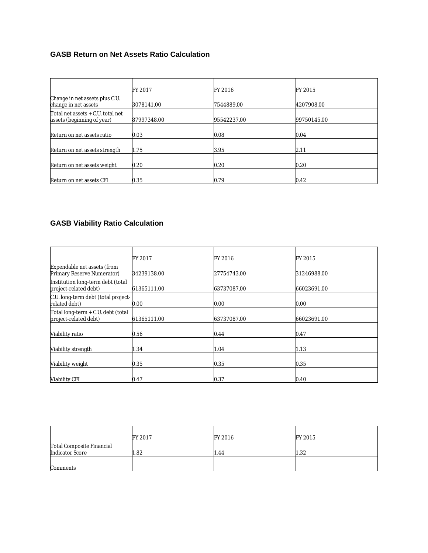## **GASB Return on Net Assets Ratio Calculation**

|                                                                 | FY 2017     | FY 2016     | FY 2015     |  |
|-----------------------------------------------------------------|-------------|-------------|-------------|--|
| Change in net assets plus C.U.<br>change in net assets          | 3078141.00  | 7544889.00  | 4207908.00  |  |
| Total net assets + C.U. total net<br>assets (beginning of year) | 87997348.00 | 95542237.00 | 99750145.00 |  |
| Return on net assets ratio                                      | 0.03        | 0.08        | 0.04        |  |
| Return on net assets strength                                   | 1.75        | 3.95        | 2.11        |  |
| Return on net assets weight                                     | 0.20        | 0.20        | 0.20        |  |
| Return on net assets CFI                                        | 0.35        | 0.79        | 0.42        |  |

## **GASB Viability Ratio Calculation**

|                                                             | FY 2017     | FY 2016     | FY 2015     |
|-------------------------------------------------------------|-------------|-------------|-------------|
| Expendable net assets (from<br>Primary Reserve Numerator)   | 34239138.00 | 27754743.00 | 31246988.00 |
| Institution long-term debt (total<br>project-related debt)  | 61365111.00 | 63737087.00 | 66023691.00 |
| C.U. long-term debt (total project-<br>related debt)        | 0.00        | 0.00        | 0.00        |
| Total long-term + C.U. debt (total<br>project-related debt) | 61365111.00 | 63737087.00 | 66023691.00 |
| Viability ratio                                             | 0.56        | 0.44        | 0.47        |
| Viability strength                                          | 1.34        | 1.04        | 1.13        |
| Viability weight                                            | 0.35        | 0.35        | 0.35        |
| Viability CFI                                               | 0.47        | 0.37        | 0.40        |

|                                                     | FY 2017 | FY 2016 | FY 2015 |
|-----------------------------------------------------|---------|---------|---------|
| Total Composite Financial<br><b>Indicator Score</b> | 1.82    | 1.44    | 1.32    |
| Comments                                            |         |         |         |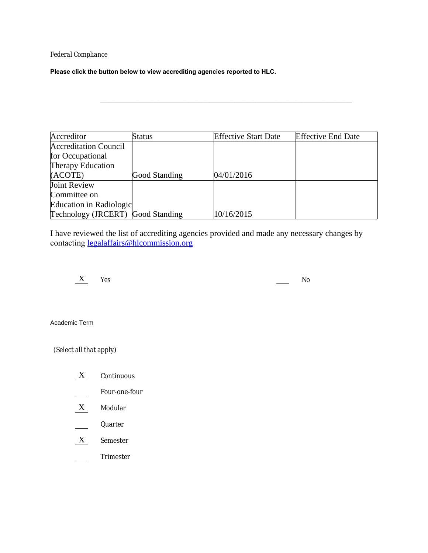## *Federal Compliance*

**Please click the button below to view accrediting agencies reported to HLC.**

| Accreditor                        | Status        | <b>Effective Start Date</b> | <b>Effective End Date</b> |
|-----------------------------------|---------------|-----------------------------|---------------------------|
| <b>Accreditation Council</b>      |               |                             |                           |
| for Occupational                  |               |                             |                           |
| Therapy Education                 |               |                             |                           |
| (ACOTE)                           | Good Standing | 04/01/2016                  |                           |
| Joint Review                      |               |                             |                           |
| Committee on                      |               |                             |                           |
| Education in Radiologic           |               |                             |                           |
| Technology (JRCERT) Good Standing |               | 10/16/2015                  |                           |

\_\_\_\_\_\_\_\_\_\_\_\_\_\_\_\_\_\_\_\_\_\_\_\_\_\_\_\_\_\_\_\_\_\_\_\_\_\_\_\_\_\_\_\_\_\_\_\_\_\_\_\_\_\_\_\_\_\_\_\_

I have reviewed the list of accrediting agencies provided and made any necessary changes by contacting [legalaffairs@hlcommission.org](mailto:legalaffairs@hlcommission.org)



Academic Term

(Select all that apply)

- X Continuous
- Four-one-four  $\mathbb{R}$
- X Modular
- Quarter
- X Semester
- Trimester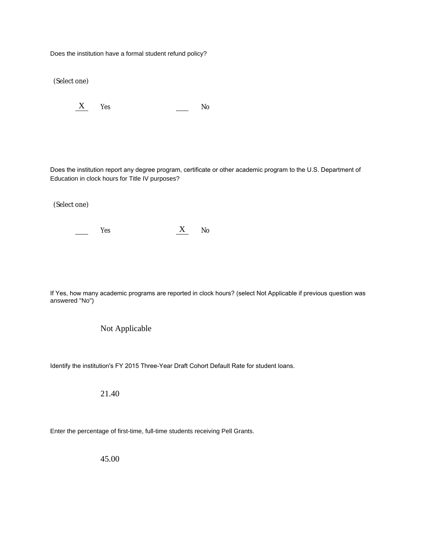Does the institution have a formal student refund policy?

(Select one)

 $X$  Yes No

Does the institution report any degree program, certificate or other academic program to the U.S. Department of Education in clock hours for Title IV purposes?

(Select one)

 $\equiv$ 

Yes X No

If Yes, how many academic programs are reported in clock hours? (select Not Applicable if previous question was answered "No")

### Not Applicable

Identify the institution's FY 2015 Three-Year Draft Cohort Default Rate for student loans.

21.40

Enter the percentage of first-time, full-time students receiving Pell Grants.

45.00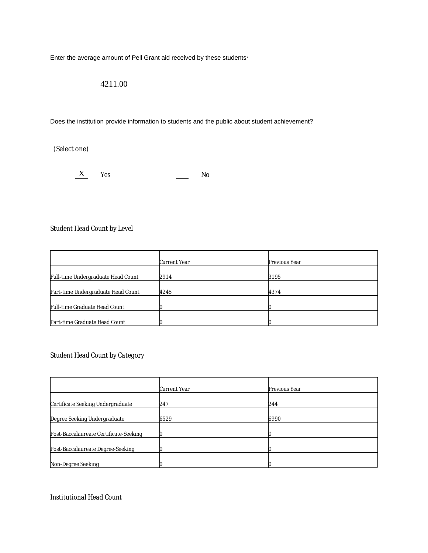Enter the average amount of Pell Grant aid received by these students.

## 4211.00

Does the institution provide information to students and the public about student achievement?

(Select one)

 $X$  Yes No

## *Student Head Count by Level*

|                                    | Current Year | Previous Year |
|------------------------------------|--------------|---------------|
| Full-time Undergraduate Head Count | 2914         | 3195          |
| Part-time Undergraduate Head Count | 4245         | 4374          |
| Full-time Graduate Head Count      |              |               |
| Part-time Graduate Head Count      |              |               |

## *Student Head Count by Category*

|                                        | Current Year | Previous Year |
|----------------------------------------|--------------|---------------|
| Certificate Seeking Undergraduate      | 247          | 244           |
|                                        |              |               |
| Degree Seeking Undergraduate           | 6529         | 6990          |
|                                        |              |               |
| Post-Baccalaureate Certificate-Seeking |              |               |
|                                        |              |               |
| Post-Baccalaureate Degree-Seeking      |              |               |
|                                        |              |               |
| Non-Degree Seeking                     |              |               |

*Institutional Head Count*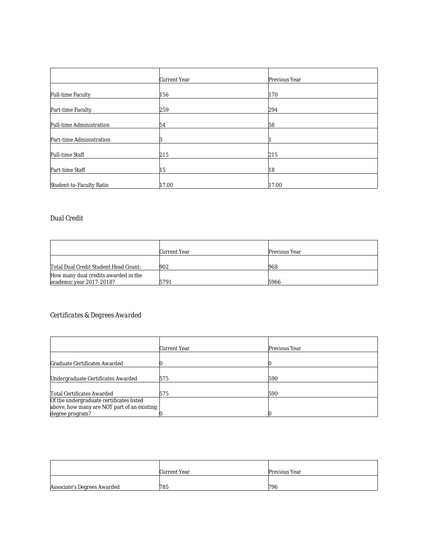|                          | Current Year | Previous Year |  |
|--------------------------|--------------|---------------|--|
|                          |              |               |  |
| <b>Full-time Faculty</b> | 156          | 170           |  |
|                          |              |               |  |
| Part-time Faculty        | 259          | 294           |  |
| Full-time Administration | 54           | 58            |  |
|                          |              |               |  |
| Part-time Administration |              |               |  |
|                          |              |               |  |
| Full-time Staff          | 215          | 215           |  |
| Part-time Staff          | 15           | 18            |  |
|                          |              |               |  |
| Student-to-Faculty Ratio | 17.00        | 17.00         |  |

## *Dual Credit*

|                                                                  | Current Year | Previous Year |
|------------------------------------------------------------------|--------------|---------------|
| Total Dual Credit Student Head Count:                            | 902          | 968           |
| How many dual credits awarded in the<br>academic year 2017-2018? | 5791         | 5966          |

# *Certificates & Degrees Awarded*

|                                             | Current Year | Previous Year |
|---------------------------------------------|--------------|---------------|
| Graduate Certificates Awarded               |              |               |
|                                             |              |               |
| Undergraduate Certificates Awarded          | 575          | 590           |
|                                             |              |               |
| Total Certificates Awarded                  | 575          | 590           |
| Of the undergraduate certificates listed    |              |               |
| above, how many are NOT part of an existing |              |               |
| degree program?                             |              |               |

|                             | Current Year | Previous Year |
|-----------------------------|--------------|---------------|
| Associate's Degrees Awarded | 785          | 796           |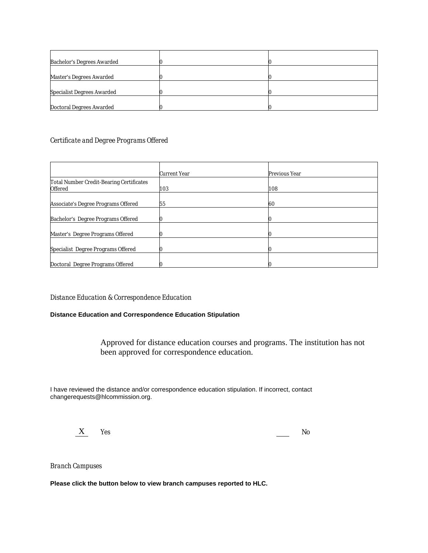| Bachelor's Degrees Awarded |  |
|----------------------------|--|
|                            |  |
| Master's Degrees Awarded   |  |
|                            |  |
| Specialist Degrees Awarded |  |
|                            |  |
| Doctoral Degrees Awarded   |  |

### *Certificate and Degree Programs Offered*

|                                                     | Current Year | Previous Year |
|-----------------------------------------------------|--------------|---------------|
| Total Number Credit-Bearing Certificates<br>Offered | 103          | 108           |
| Associate's Degree Programs Offered                 | 55           | 60            |
| Bachelor's Degree Programs Offered                  |              |               |
| Master's Degree Programs Offered                    |              |               |
| Specialist Degree Programs Offered                  |              |               |
| Doctoral Degree Programs Offered                    |              |               |

#### *Distance Education & Correspondence Education*

### **Distance Education and Correspondence Education Stipulation**

Approved for distance education courses and programs. The institution has not been approved for correspondence education.

I have reviewed the distance and/or correspondence education stipulation. If incorrect, contact changerequests@hlcommission.org.

 $X$   $Y_{\text{es}}$  No

*Branch Campuses*

**Please click the button below to view branch campuses reported to HLC.**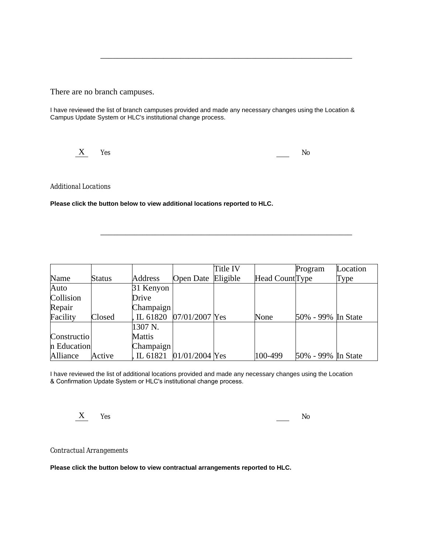There are no branch campuses.

I have reviewed the list of branch campuses provided and made any necessary changes using the Location & Campus Update System or HLC's institutional change process.

\_\_\_\_\_\_\_\_\_\_\_\_\_\_\_\_\_\_\_\_\_\_\_\_\_\_\_\_\_\_\_\_\_\_\_\_\_\_\_\_\_\_\_\_\_\_\_\_\_\_\_\_\_\_\_\_\_\_\_\_



*Additional Locations*

**Please click the button below to view additional locations reported to HLC.**

|              |        |            |                    | Title IV |                 | Program            | Location |
|--------------|--------|------------|--------------------|----------|-----------------|--------------------|----------|
| Name         | Status | Address    | Open Date Eligible |          | Head Count Type |                    | Type     |
| Auto         |        | 31 Kenyon  |                    |          |                 |                    |          |
| Collision    |        | Drive      |                    |          |                 |                    |          |
| Repair       |        | Champaign  |                    |          |                 |                    |          |
| Facility     | Closed | L 61820    | $07/01/2007$ Yes   |          | None            | 50% - 99% In State |          |
|              |        | 1307 N.    |                    |          |                 |                    |          |
| Construction |        | Mattis     |                    |          |                 |                    |          |
| n Education  |        | Champaign  |                    |          |                 |                    |          |
| Alliance     | Active | , IL 61821 | $01/01/2004$ Yes   |          | 100-499         | 50% - 99% In State |          |

\_\_\_\_\_\_\_\_\_\_\_\_\_\_\_\_\_\_\_\_\_\_\_\_\_\_\_\_\_\_\_\_\_\_\_\_\_\_\_\_\_\_\_\_\_\_\_\_\_\_\_\_\_\_\_\_\_\_\_\_

I have reviewed the list of additional locations provided and made any necessary changes using the Location & Confirmation Update System or HLC's institutional change process.

X Yes No

*Contractual Arrangements*

**Please click the button below to view contractual arrangements reported to HLC.**